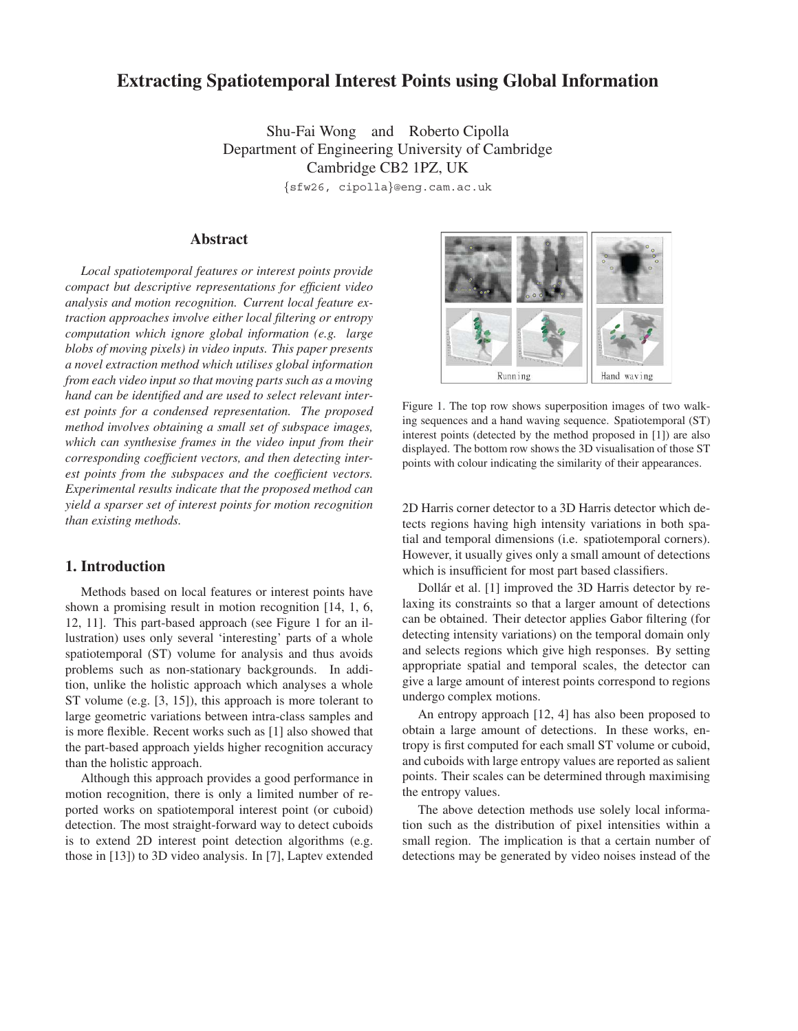# **Extracting Spatiotemporal Interest Points using Global Information**

Shu-Fai Wong and Roberto Cipolla Department of Engineering University of Cambridge Cambridge CB2 1PZ, UK

*{*sfw26, cipolla*}*@eng.cam.ac.uk

## **Abstract**

*Local spatiotemporal features or interest points provide compact but descriptive representations for efficient video analysis and motion recognition. Current local feature extraction approaches involve either local filtering or entropy computation which ignore global information (e.g. large blobs of moving pixels) in video inputs. This paper presents a novel extraction method which utilises global information from each video input so that moving parts such as a moving hand can be identified and are used to select relevant interest points for a condensed representation. The proposed method involves obtaining a small set of subspace images, which can synthesise frames in the video input from their corresponding coefficient vectors, and then detecting interest points from the subspaces and the coefficient vectors. Experimental results indicate that the proposed method can yield a sparser set of interest points for motion recognition than existing methods.*

## **1. Introduction**

Methods based on local features or interest points have shown a promising result in motion recognition [14, 1, 6, 12, 11]. This part-based approach (see Figure 1 for an illustration) uses only several 'interesting' parts of a whole spatiotemporal (ST) volume for analysis and thus avoids problems such as non-stationary backgrounds. In addition, unlike the holistic approach which analyses a whole ST volume (e.g. [3, 15]), this approach is more tolerant to large geometric variations between intra-class samples and is more flexible. Recent works such as [1] also showed that the part-based approach yields higher recognition accuracy than the holistic approach.

Although this approach provides a good performance in motion recognition, there is only a limited number of reported works on spatiotemporal interest point (or cuboid) detection. The most straight-forward way to detect cuboids is to extend 2D interest point detection algorithms (e.g. those in [13]) to 3D video analysis. In [7], Laptev extended



Figure 1. The top row shows superposition images of two walking sequences and a hand waving sequence. Spatiotemporal (ST) interest points (detected by the method proposed in [1]) are also displayed. The bottom row shows the 3D visualisation of those ST points with colour indicating the similarity of their appearances.

2D Harris corner detector to a 3D Harris detector which detects regions having high intensity variations in both spatial and temporal dimensions (i.e. spatiotemporal corners). However, it usually gives only a small amount of detections which is insufficient for most part based classifiers.

Dollár et al. [1] improved the 3D Harris detector by relaxing its constraints so that a larger amount of detections can be obtained. Their detector applies Gabor filtering (for detecting intensity variations) on the temporal domain only and selects regions which give high responses. By setting appropriate spatial and temporal scales, the detector can give a large amount of interest points correspond to regions undergo complex motions.

An entropy approach [12, 4] has also been proposed to obtain a large amount of detections. In these works, entropy is first computed for each small ST volume or cuboid, and cuboids with large entropy values are reported as salient points. Their scales can be determined through maximising the entropy values.

The above detection methods use solely local information such as the distribution of pixel intensities within a small region. The implication is that a certain number of detections may be generated by video noises instead of the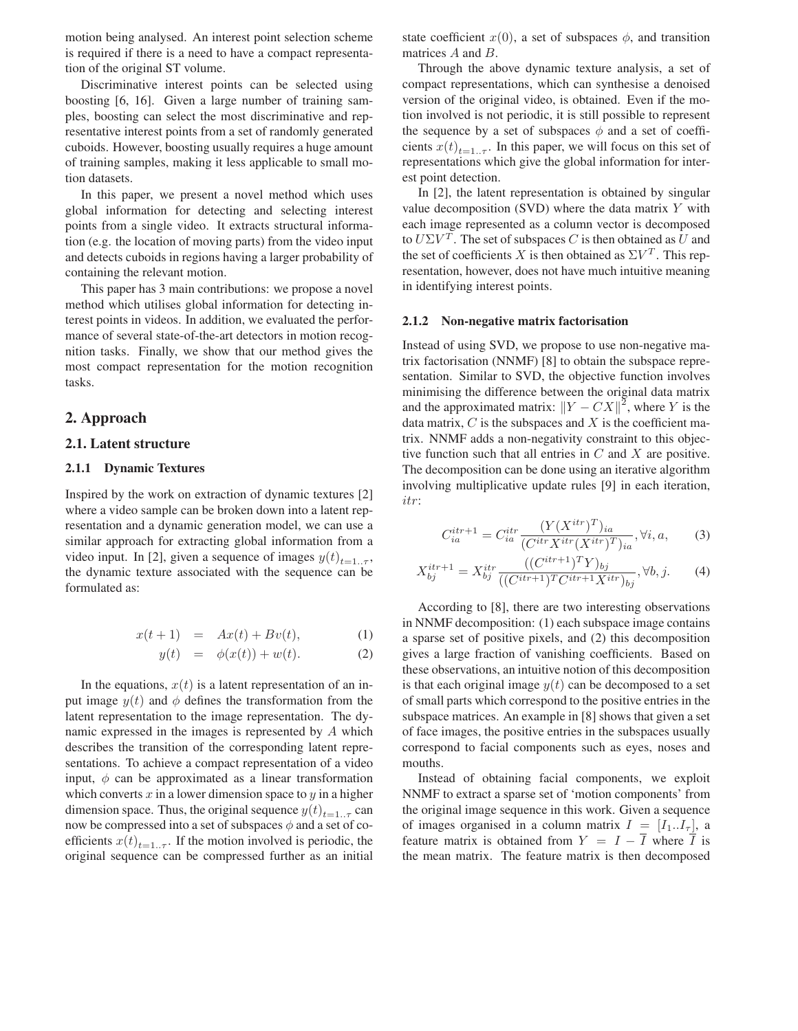motion being analysed. An interest point selection scheme is required if there is a need to have a compact representation of the original ST volume.

Discriminative interest points can be selected using boosting [6, 16]. Given a large number of training samples, boosting can select the most discriminative and representative interest points from a set of randomly generated cuboids. However, boosting usually requires a huge amount of training samples, making it less applicable to small motion datasets.

In this paper, we present a novel method which uses global information for detecting and selecting interest points from a single video. It extracts structural information (e.g. the location of moving parts) from the video input and detects cuboids in regions having a larger probability of containing the relevant motion.

This paper has 3 main contributions: we propose a novel method which utilises global information for detecting interest points in videos. In addition, we evaluated the performance of several state-of-the-art detectors in motion recognition tasks. Finally, we show that our method gives the most compact representation for the motion recognition tasks.

## **2. Approach**

#### **2.1. Latent structure**

#### **2.1.1 Dynamic Textures**

Inspired by the work on extraction of dynamic textures [2] where a video sample can be broken down into a latent representation and a dynamic generation model, we can use a similar approach for extracting global information from a video input. In [2], given a sequence of images  $y(t)_{t=1,\tau}$ , the dynamic texture associated with the sequence can be formulated as:

$$
x(t+1) = Ax(t) + Bv(t),
$$
 (1)

$$
y(t) = \phi(x(t)) + w(t). \tag{2}
$$

In the equations,  $x(t)$  is a latent representation of an input image  $y(t)$  and  $\phi$  defines the transformation from the latent representation to the image representation. The dynamic expressed in the images is represented by A which describes the transition of the corresponding latent representations. To achieve a compact representation of a video input,  $\phi$  can be approximated as a linear transformation which converts  $x$  in a lower dimension space to  $y$  in a higher dimension space. Thus, the original sequence  $y(t)_{t=1..\tau}$  can now be compressed into a set of subspaces  $\phi$  and a set of coefficients  $x(t)_{t=1,\tau}$ . If the motion involved is periodic, the original sequence can be compressed further as an initial

state coefficient  $x(0)$ , a set of subspaces  $\phi$ , and transition matrices A and B.

Through the above dynamic texture analysis, a set of compact representations, which can synthesise a denoised version of the original video, is obtained. Even if the motion involved is not periodic, it is still possible to represent the sequence by a set of subspaces  $\phi$  and a set of coefficients  $x(t)_{t=1..\tau}$ . In this paper, we will focus on this set of representations which give the global information for interest point detection.

In [2], the latent representation is obtained by singular value decomposition (SVD) where the data matrix  $Y$  with each image represented as a column vector is decomposed to  $U\Sigma V^T$ . The set of subspaces C is then obtained as U and the set of coefficients X is then obtained as  $\Sigma V^T$ . This representation, however, does not have much intuitive meaning in identifying interest points.

#### **2.1.2 Non-negative matrix factorisation**

Instead of using SVD, we propose to use non-negative matrix factorisation (NNMF) [8] to obtain the subspace representation. Similar to SVD, the objective function involves minimising the difference between the original data matrix and the approximated matrix:  $||Y - CX||^2$ , where Y is the data matrix. C is the subspaces and X is the coefficient madata matrix,  $C$  is the subspaces and  $X$  is the coefficient matrix. NNMF adds a non-negativity constraint to this objective function such that all entries in  $C$  and  $X$  are positive. The decomposition can be done using an iterative algorithm involving multiplicative update rules [9] in each iteration, itr:

$$
C_{ia}^{itr+1} = C_{ia}^{itr} \frac{(Y(X^{itr})^T)_{ia}}{(C^{itr}X^{itr}(X^{itr})^T)_{ia}}, \forall i, a,
$$
 (3)

$$
X_{bj}^{itr+1} = X_{bj}^{itr} \frac{((C^{itr+1})^T Y)_{bj}}{((C^{itr+1})^T C^{itr+1} X^{itr})_{bj}}, \forall b, j.
$$
 (4)

According to [8], there are two interesting observations in NNMF decomposition: (1) each subspace image contains a sparse set of positive pixels, and (2) this decomposition gives a large fraction of vanishing coefficients. Based on these observations, an intuitive notion of this decomposition is that each original image  $y(t)$  can be decomposed to a set of small parts which correspond to the positive entries in the subspace matrices. An example in [8] shows that given a set of face images, the positive entries in the subspaces usually correspond to facial components such as eyes, noses and mouths.

Instead of obtaining facial components, we exploit NNMF to extract a sparse set of 'motion components' from the original image sequence in this work. Given a sequence of images organised in a column matrix  $I = [I_1..I_\tau]$ , a feature matrix is obtained from  $Y = I - \overline{I}$  where  $\overline{I}$  is the mean matrix. The feature matrix is then decomposed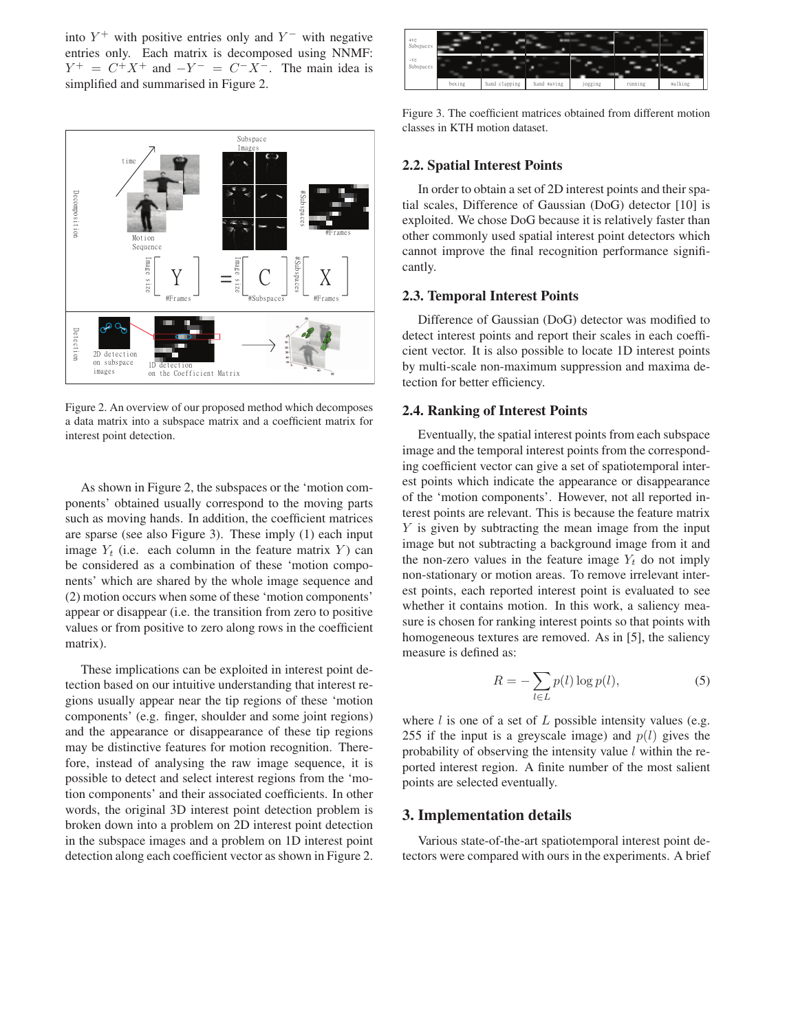into  $Y^+$  with positive entries only and  $Y^-$  with negative entries only. Each matrix is decomposed using NNMF:  $Y^+ = C^+X^+$  and  $-Y^- = C^-X^-$ . The main idea is simplified and summarised in Figure 2.



Figure 2. An overview of our proposed method which decomposes a data matrix into a subspace matrix and a coefficient matrix for interest point detection.

As shown in Figure 2, the subspaces or the 'motion components' obtained usually correspond to the moving parts such as moving hands. In addition, the coefficient matrices are sparse (see also Figure 3). These imply (1) each input image  $Y_t$  (i.e. each column in the feature matrix Y) can be considered as a combination of these 'motion components' which are shared by the whole image sequence and (2) motion occurs when some of these 'motion components' appear or disappear (i.e. the transition from zero to positive values or from positive to zero along rows in the coefficient matrix).

These implications can be exploited in interest point detection based on our intuitive understanding that interest regions usually appear near the tip regions of these 'motion components' (e.g. finger, shoulder and some joint regions) and the appearance or disappearance of these tip regions may be distinctive features for motion recognition. Therefore, instead of analysing the raw image sequence, it is possible to detect and select interest regions from the 'motion components' and their associated coefficients. In other words, the original 3D interest point detection problem is broken down into a problem on 2D interest point detection in the subspace images and a problem on 1D interest point detection along each coefficient vector as shown in Figure 2.



Figure 3. The coefficient matrices obtained from different motion classes in KTH motion dataset.

## **2.2. Spatial Interest Points**

In order to obtain a set of 2D interest points and their spatial scales, Difference of Gaussian (DoG) detector [10] is exploited. We chose DoG because it is relatively faster than other commonly used spatial interest point detectors which cannot improve the final recognition performance significantly.

## **2.3. Temporal Interest Points**

Difference of Gaussian (DoG) detector was modified to detect interest points and report their scales in each coefficient vector. It is also possible to locate 1D interest points by multi-scale non-maximum suppression and maxima detection for better efficiency.

#### **2.4. Ranking of Interest Points**

Eventually, the spatial interest points from each subspace image and the temporal interest points from the corresponding coefficient vector can give a set of spatiotemporal interest points which indicate the appearance or disappearance of the 'motion components'. However, not all reported interest points are relevant. This is because the feature matrix Y is given by subtracting the mean image from the input image but not subtracting a background image from it and the non-zero values in the feature image  $Y_t$  do not imply non-stationary or motion areas. To remove irrelevant interest points, each reported interest point is evaluated to see whether it contains motion. In this work, a saliency measure is chosen for ranking interest points so that points with homogeneous textures are removed. As in [5], the saliency measure is defined as:

$$
R = -\sum_{l \in L} p(l) \log p(l),\tag{5}
$$

where  $l$  is one of a set of  $L$  possible intensity values (e.g. 255 if the input is a greyscale image) and  $p(l)$  gives the probability of observing the intensity value  $l$  within the reported interest region. A finite number of the most salient points are selected eventually.

## **3. Implementation details**

Various state-of-the-art spatiotemporal interest point detectors were compared with ours in the experiments. A brief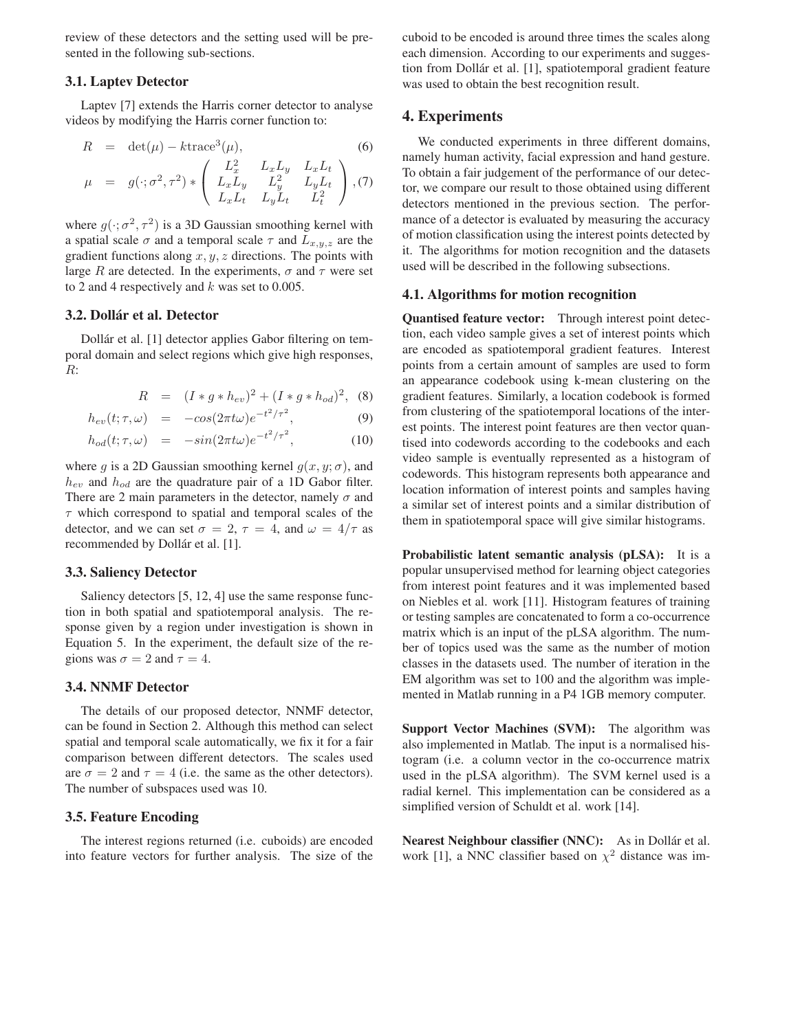review of these detectors and the setting used will be presented in the following sub-sections.

## **3.1. Laptev Detector**

Laptev [7] extends the Harris corner detector to analyse videos by modifying the Harris corner function to:

$$
R = \det(\mu) - k \text{trace}^{3}(\mu),
$$
\n
$$
\mu = g(\cdot; \sigma^{2}, \tau^{2}) * \begin{pmatrix} L_{x}^{2} & L_{x}L_{y} & L_{x}L_{t} \\ L_{x}L_{y} & L_{y}^{2} & L_{y}L_{t} \\ L_{x}L_{t} & L_{y}L_{t} & L_{t}^{2} \end{pmatrix}, (7)
$$

where  $q(\cdot; \sigma^2, \tau^2)$  is a 3D Gaussian smoothing kernel with a spatial scale  $\sigma$  and a temporal scale  $\tau$  and  $L_{x,y,z}$  are the gradient functions along  $x, y, z$  directions. The points with large R are detected. In the experiments,  $\sigma$  and  $\tau$  were set to 2 and 4 respectively and  $k$  was set to 0.005.

#### **3.2. Dollar et al. Detector ´**

Dollár et al. [1] detector applies Gabor filtering on temporal domain and select regions which give high responses, R:

$$
R = (I * g * h_{ev})^2 + (I * g * h_{od})^2, (8)
$$

$$
h_{ev}(t; \tau, \omega) = -\cos(2\pi t \omega)e^{-t^2/\tau^2}, \tag{9}
$$

$$
h_{od}(t;\tau,\omega) = -\sin(2\pi t\omega)e^{-t^2/\tau^2}, \qquad (10)
$$

where g is a 2D Gaussian smoothing kernel  $g(x, y; \sigma)$ , and  $h_{ev}$  and  $h_{od}$  are the quadrature pair of a 1D Gabor filter. There are 2 main parameters in the detector, namely  $\sigma$  and  $\tau$  which correspond to spatial and temporal scales of the detector, and we can set  $\sigma = 2$ ,  $\tau = 4$ , and  $\omega = 4/\tau$  as recommended by Dollár et al. [1].

## **3.3. Saliency Detector**

Saliency detectors [5, 12, 4] use the same response function in both spatial and spatiotemporal analysis. The response given by a region under investigation is shown in Equation 5. In the experiment, the default size of the regions was  $\sigma = 2$  and  $\tau = 4$ .

## **3.4. NNMF Detector**

The details of our proposed detector, NNMF detector, can be found in Section 2. Although this method can select spatial and temporal scale automatically, we fix it for a fair comparison between different detectors. The scales used are  $\sigma = 2$  and  $\tau = 4$  (i.e. the same as the other detectors). The number of subspaces used was 10.

#### **3.5. Feature Encoding**

The interest regions returned (i.e. cuboids) are encoded into feature vectors for further analysis. The size of the

cuboid to be encoded is around three times the scales along each dimension. According to our experiments and suggestion from Dollár et al. [1], spatiotemporal gradient feature was used to obtain the best recognition result.

#### **4. Experiments**

We conducted experiments in three different domains, namely human activity, facial expression and hand gesture. To obtain a fair judgement of the performance of our detector, we compare our result to those obtained using different detectors mentioned in the previous section. The performance of a detector is evaluated by measuring the accuracy of motion classification using the interest points detected by it. The algorithms for motion recognition and the datasets used will be described in the following subsections.

#### **4.1. Algorithms for motion recognition**

**Quantised feature vector:** Through interest point detection, each video sample gives a set of interest points which are encoded as spatiotemporal gradient features. Interest points from a certain amount of samples are used to form an appearance codebook using k-mean clustering on the gradient features. Similarly, a location codebook is formed from clustering of the spatiotemporal locations of the interest points. The interest point features are then vector quantised into codewords according to the codebooks and each video sample is eventually represented as a histogram of codewords. This histogram represents both appearance and location information of interest points and samples having a similar set of interest points and a similar distribution of them in spatiotemporal space will give similar histograms.

**Probabilistic latent semantic analysis (pLSA):** It is a popular unsupervised method for learning object categories from interest point features and it was implemented based on Niebles et al. work [11]. Histogram features of training or testing samples are concatenated to form a co-occurrence matrix which is an input of the pLSA algorithm. The number of topics used was the same as the number of motion classes in the datasets used. The number of iteration in the EM algorithm was set to 100 and the algorithm was implemented in Matlab running in a P4 1GB memory computer.

**Support Vector Machines (SVM):** The algorithm was also implemented in Matlab. The input is a normalised histogram (i.e. a column vector in the co-occurrence matrix used in the pLSA algorithm). The SVM kernel used is a radial kernel. This implementation can be considered as a simplified version of Schuldt et al. work [14].

Nearest Neighbour classifier (NNC): As in Dollár et al. work [1], a NNC classifier based on  $\chi^2$  distance was im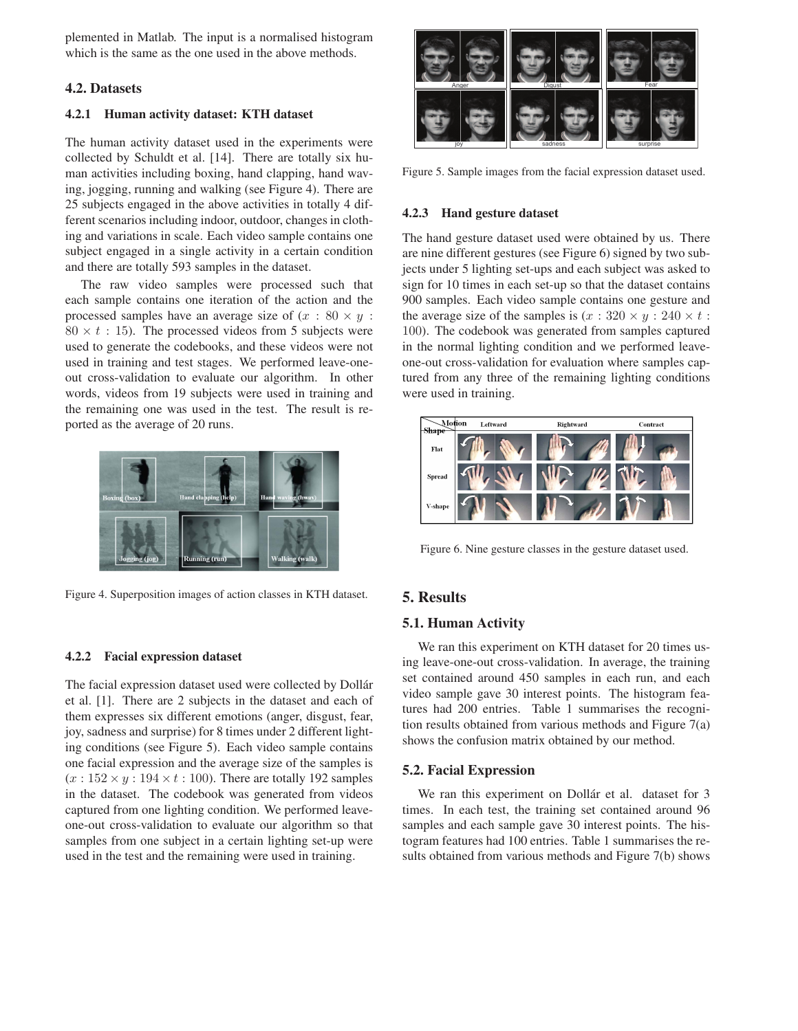plemented in Matlab. The input is a normalised histogram which is the same as the one used in the above methods.

## **4.2. Datasets**

## **4.2.1 Human activity dataset: KTH dataset**

The human activity dataset used in the experiments were collected by Schuldt et al. [14]. There are totally six human activities including boxing, hand clapping, hand waving, jogging, running and walking (see Figure 4). There are 25 subjects engaged in the above activities in totally 4 different scenarios including indoor, outdoor, changes in clothing and variations in scale. Each video sample contains one subject engaged in a single activity in a certain condition and there are totally 593 samples in the dataset.

The raw video samples were processed such that each sample contains one iteration of the action and the processed samples have an average size of  $(x : 80 \times y)$ :  $80 \times t$  : 15). The processed videos from 5 subjects were used to generate the codebooks, and these videos were not used in training and test stages. We performed leave-oneout cross-validation to evaluate our algorithm. In other words, videos from 19 subjects were used in training and the remaining one was used in the test. The result is reported as the average of 20 runs.



Figure 4. Superposition images of action classes in KTH dataset.

#### **4.2.2 Facial expression dataset**

The facial expression dataset used were collected by Dollár et al. [1]. There are 2 subjects in the dataset and each of them expresses six different emotions (anger, disgust, fear, joy, sadness and surprise) for 8 times under 2 different lighting conditions (see Figure 5). Each video sample contains one facial expression and the average size of the samples is  $(x: 152 \times y: 194 \times t: 100)$ . There are totally 192 samples in the dataset. The codebook was generated from videos captured from one lighting condition. We performed leaveone-out cross-validation to evaluate our algorithm so that samples from one subject in a certain lighting set-up were used in the test and the remaining were used in training.



Figure 5. Sample images from the facial expression dataset used.

#### **4.2.3 Hand gesture dataset**

The hand gesture dataset used were obtained by us. There are nine different gestures (see Figure 6) signed by two subjects under 5 lighting set-ups and each subject was asked to sign for 10 times in each set-up so that the dataset contains 900 samples. Each video sample contains one gesture and the average size of the samples is  $(x: 320 \times y: 240 \times t:$ 100). The codebook was generated from samples captured in the normal lighting condition and we performed leaveone-out cross-validation for evaluation where samples captured from any three of the remaining lighting conditions were used in training.



Figure 6. Nine gesture classes in the gesture dataset used.

## **5. Results**

## **5.1. Human Activity**

We ran this experiment on KTH dataset for 20 times using leave-one-out cross-validation. In average, the training set contained around 450 samples in each run, and each video sample gave 30 interest points. The histogram features had 200 entries. Table 1 summarises the recognition results obtained from various methods and Figure 7(a) shows the confusion matrix obtained by our method.

## **5.2. Facial Expression**

We ran this experiment on Dollár et al. dataset for 3 times. In each test, the training set contained around 96 samples and each sample gave 30 interest points. The histogram features had 100 entries. Table 1 summarises the results obtained from various methods and Figure 7(b) shows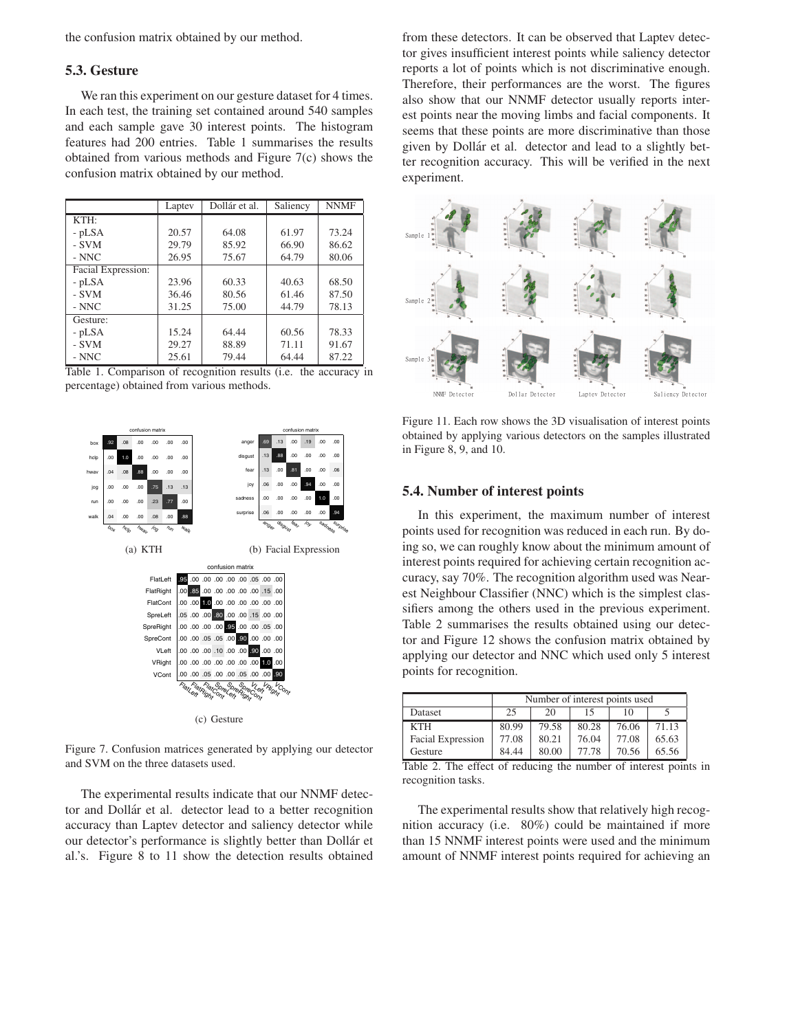the confusion matrix obtained by our method.

## **5.3. Gesture**

We ran this experiment on our gesture dataset for 4 times. In each test, the training set contained around 540 samples and each sample gave 30 interest points. The histogram features had 200 entries. Table 1 summarises the results obtained from various methods and Figure 7(c) shows the confusion matrix obtained by our method.

|                    | Laptev | Dollár et al. | Saliency | <b>NNMF</b> |
|--------------------|--------|---------------|----------|-------------|
| KTH:               |        |               |          |             |
| $-pLSA$            | 20.57  | 64.08         | 61.97    | 73.24       |
| - SVM              | 29.79  | 85.92         | 66.90    | 86.62       |
| - NNC              | 26.95  | 75.67         | 64.79    | 80.06       |
| Facial Expression: |        |               |          |             |
| - pLSA             | 23.96  | 60.33         | 40.63    | 68.50       |
| - SVM              | 36.46  | 80.56         | 61.46    | 87.50       |
| $-$ NNC            | 31.25  | 75.00         | 44.79    | 78.13       |
| Gesture:           |        |               |          |             |
| $-pLSA$            | 15.24  | 64.44         | 60.56    | 78.33       |
| - SVM              | 29.27  | 88.89         | 71.11    | 91.67       |
| - NNC              | 25.61  | 79.44         | 64.44    | 87.22       |

Table 1. Comparison of recognition results (i.e. the accuracy in percentage) obtained from various methods.



Figure 7. Confusion matrices generated by applying our detector and SVM on the three datasets used.

The experimental results indicate that our NNMF detector and Dollár et al. detector lead to a better recognition accuracy than Laptev detector and saliency detector while our detector's performance is slightly better than Dollár et al.'s. Figure 8 to 11 show the detection results obtained from these detectors. It can be observed that Laptev detector gives insufficient interest points while saliency detector reports a lot of points which is not discriminative enough. Therefore, their performances are the worst. The figures also show that our NNMF detector usually reports interest points near the moving limbs and facial components. It seems that these points are more discriminative than those given by Dollár et al. detector and lead to a slightly better recognition accuracy. This will be verified in the next experiment.



Figure 11. Each row shows the 3D visualisation of interest points obtained by applying various detectors on the samples illustrated in Figure 8, 9, and 10.

#### **5.4. Number of interest points**

In this experiment, the maximum number of interest points used for recognition was reduced in each run. By doing so, we can roughly know about the minimum amount of interest points required for achieving certain recognition accuracy, say 70%. The recognition algorithm used was Nearest Neighbour Classifier (NNC) which is the simplest classifiers among the others used in the previous experiment. Table 2 summarises the results obtained using our detector and Figure 12 shows the confusion matrix obtained by applying our detector and NNC which used only 5 interest points for recognition.

|                          | Number of interest points used |       |       |       |       |  |
|--------------------------|--------------------------------|-------|-------|-------|-------|--|
| Dataset                  | 25                             | 20    | 15    | 10    |       |  |
| <b>KTH</b>               | 80.99                          | 79.58 | 80.28 | 76.06 | 71.13 |  |
| <b>Facial Expression</b> | 77.08                          | 80.21 | 76.04 | 77.08 | 65.63 |  |
| Gesture                  | 84.44                          | 80.00 | 77.78 | 70.56 | 65.56 |  |

Table 2. The effect of reducing the number of interest points in recognition tasks.

The experimental results show that relatively high recognition accuracy (i.e. 80%) could be maintained if more than 15 NNMF interest points were used and the minimum amount of NNMF interest points required for achieving an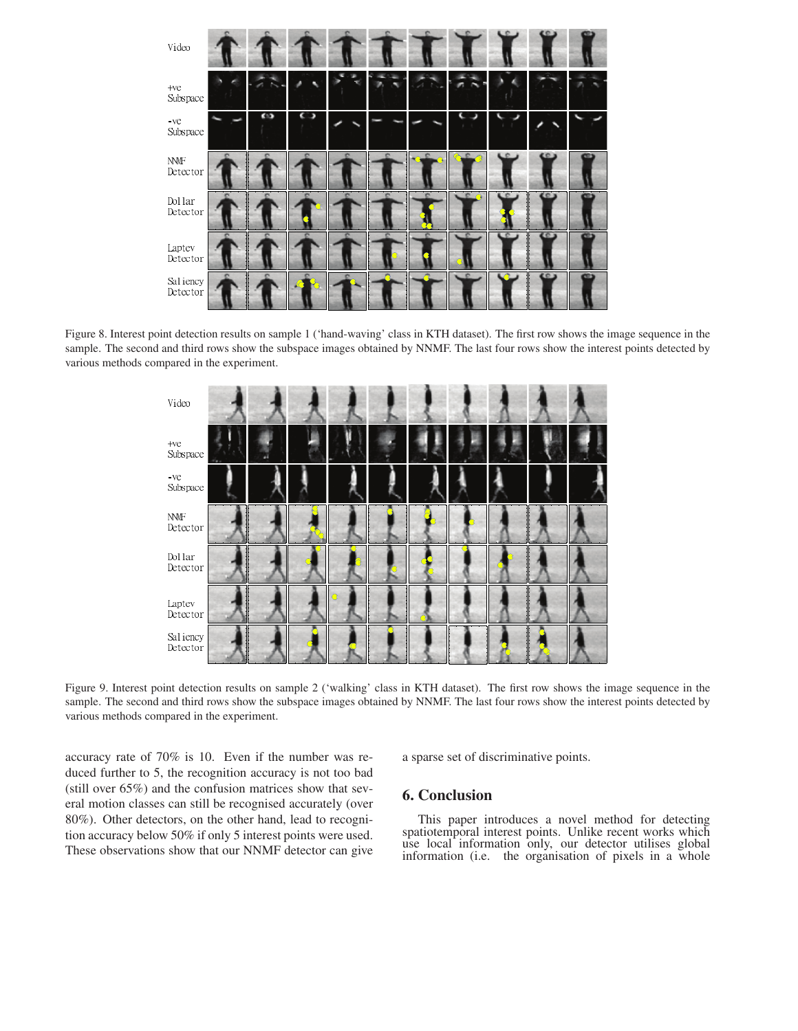

Figure 8. Interest point detection results on sample 1 ('hand-waving' class in KTH dataset). The first row shows the image sequence in the sample. The second and third rows show the subspace images obtained by NNMF. The last four rows show the interest points detected by various methods compared in the experiment.



Figure 9. Interest point detection results on sample 2 ('walking' class in KTH dataset). The first row shows the image sequence in the sample. The second and third rows show the subspace images obtained by NNMF. The last four rows show the interest points detected by various methods compared in the experiment.

accuracy rate of 70% is 10. Even if the number was reduced further to 5, the recognition accuracy is not too bad (still over 65%) and the confusion matrices show that several motion classes can still be recognised accurately (over 80%). Other detectors, on the other hand, lead to recognition accuracy below 50% if only 5 interest points were used. These observations show that our NNMF detector can give

a sparse set of discriminative points.

## **6. Conclusion**

This paper introduces a novel method for detecting spatiotemporal interest points. Unlike recent works which use local information only, our detector utilises global information (i.e. the organisation of pixels in a whole